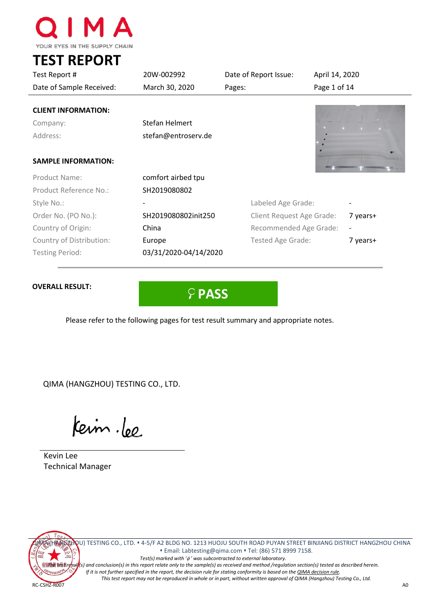

**TEST REPORT**

| Test Report #                                      | 20W-002992                            | Date of Report Issue:     | April 14, 2020 |                          |
|----------------------------------------------------|---------------------------------------|---------------------------|----------------|--------------------------|
| Date of Sample Received:                           | March 30, 2020                        | Pages:                    |                | Page 1 of 14             |
| <b>CLIENT INFORMATION:</b><br>Company:<br>Address: | Stefan Helmert<br>stefan@entroserv.de |                           |                |                          |
| <b>SAMPLE INFORMATION:</b>                         |                                       |                           |                |                          |
| Product Name:                                      | comfort airbed tpu                    |                           |                |                          |
| Product Reference No.:                             | SH2019080802                          |                           |                |                          |
| Style No.:                                         |                                       | Labeled Age Grade:        |                |                          |
| Order No. (PO No.):                                | SH2019080802init250                   | Client Request Age Grade: |                | 7 years+                 |
| Country of Origin:                                 | China                                 | Recommended Age Grade:    |                | $\overline{\phantom{a}}$ |
| Country of Distribution:                           | Europe                                | Tested Age Grade:         |                | 7 years+                 |

# **OVERALL RESULT:**



Please refer to the following pages for test result summary and appropriate notes.

QIMA (HANGZHOU) TESTING CO., LTD.

Testing Period: 03/31/2020-04/14/2020

Keim.lee

Kevin Lee Technical Manager

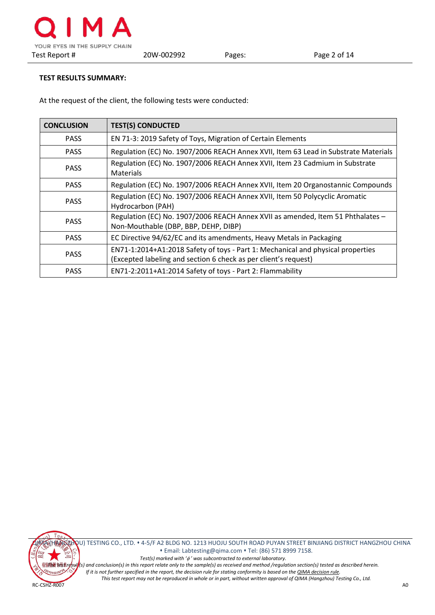# **TEST RESULTS SUMMARY:**

At the request of the client, the following tests were conducted:

| <b>CONCLUSION</b> | <b>TEST(S) CONDUCTED</b>                                                                                                                           |
|-------------------|----------------------------------------------------------------------------------------------------------------------------------------------------|
| <b>PASS</b>       | EN 71-3: 2019 Safety of Toys, Migration of Certain Elements                                                                                        |
| <b>PASS</b>       | Regulation (EC) No. 1907/2006 REACH Annex XVII, Item 63 Lead in Substrate Materials                                                                |
| <b>PASS</b>       | Regulation (EC) No. 1907/2006 REACH Annex XVII, Item 23 Cadmium in Substrate<br>Materials                                                          |
| <b>PASS</b>       | Regulation (EC) No. 1907/2006 REACH Annex XVII, Item 20 Organostannic Compounds                                                                    |
| <b>PASS</b>       | Regulation (EC) No. 1907/2006 REACH Annex XVII, Item 50 Polycyclic Aromatic<br>Hydrocarbon (PAH)                                                   |
| <b>PASS</b>       | Regulation (EC) No. 1907/2006 REACH Annex XVII as amended, Item 51 Phthalates -<br>Non-Mouthable (DBP, BBP, DEHP, DIBP)                            |
| <b>PASS</b>       | EC Directive 94/62/EC and its amendments, Heavy Metals in Packaging                                                                                |
| <b>PASS</b>       | EN71-1:2014+A1:2018 Safety of toys - Part 1: Mechanical and physical properties<br>(Excepted labeling and section 6 check as per client's request) |
| <b>PASS</b>       | EN71-2:2011+A1:2014 Safety of toys - Part 2: Flammability                                                                                          |



QIMA (HANGZHOU) TESTING CO., LTD. 4-5/F A2 BLDG NO. 1213 HUOJU SOUTH ROAD PUYAN STREET BINJIANG DISTRICT HANGZHOU CHINA Email[: Labtesting@qima.com](mailto:Labtesting@qima.com) Tel: (86) 571 8999 7158. *Test(s) marked with '*φ *' was subcontracted to external laboratory. The test result(s) and conclusion(s) in this report relate only to the sample(s) as received and method /regulation section(s) tested as described herein. If it is not further specified in the report, the decision rule for stating conformity is based on th[e QIMA decision rule.](https://s3.qima.com/files/CRD_QIMA%20Decision%20Rule-V1.pdf?_ga=2.1664817.108575118.1565087606-1285160517.1565087606)*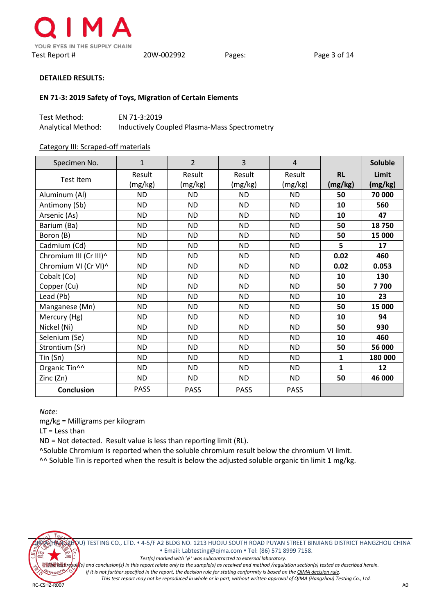

#### **EN 71-3: 2019 Safety of Toys, Migration of Certain Elements**

| Test Method:       | EN 71-3:2019                                 |
|--------------------|----------------------------------------------|
| Analytical Method: | Inductively Coupled Plasma-Mass Spectrometry |

#### Category III: Scraped-off materials

| Specimen No.              | $\mathbf{1}$ | $\overline{2}$ | 3           | $\overline{4}$ |              | <b>Soluble</b> |
|---------------------------|--------------|----------------|-------------|----------------|--------------|----------------|
|                           | Result       | Result         | Result      | Result         | <b>RL</b>    | Limit          |
| <b>Test Item</b>          | (mg/kg)      | (mg/kg)        | (mg/kg)     | (mg/kg)        | (mg/kg)      | (mg/kg)        |
| Aluminum (Al)             | <b>ND</b>    | <b>ND</b>      | <b>ND</b>   | <b>ND</b>      | 50           | 70 000         |
| Antimony (Sb)             | <b>ND</b>    | <b>ND</b>      | <b>ND</b>   | <b>ND</b>      | 10           | 560            |
| Arsenic (As)              | <b>ND</b>    | <b>ND</b>      | <b>ND</b>   | <b>ND</b>      | 10           | 47             |
| Barium (Ba)               | <b>ND</b>    | <b>ND</b>      | <b>ND</b>   | <b>ND</b>      | 50           | 18750          |
| Boron (B)                 | <b>ND</b>    | <b>ND</b>      | <b>ND</b>   | <b>ND</b>      | 50           | 15 000         |
| Cadmium (Cd)              | <b>ND</b>    | <b>ND</b>      | <b>ND</b>   | <b>ND</b>      | 5            | 17             |
| Chromium III (Cr III)^    | <b>ND</b>    | <b>ND</b>      | <b>ND</b>   | <b>ND</b>      | 0.02         | 460            |
| Chromium VI (Cr VI)^      | <b>ND</b>    | <b>ND</b>      | <b>ND</b>   | <b>ND</b>      | 0.02         | 0.053          |
| Cobalt (Co)               | ND.          | <b>ND</b>      | ND          | ND.            | 10           | 130            |
| Copper (Cu)               | <b>ND</b>    | <b>ND</b>      | <b>ND</b>   | <b>ND</b>      | 50           | 7700           |
| Lead (Pb)                 | <b>ND</b>    | <b>ND</b>      | <b>ND</b>   | <b>ND</b>      | 10           | 23             |
| Manganese (Mn)            | <b>ND</b>    | <b>ND</b>      | <b>ND</b>   | <b>ND</b>      | 50           | 15 000         |
| Mercury (Hg)              | <b>ND</b>    | <b>ND</b>      | <b>ND</b>   | <b>ND</b>      | 10           | 94             |
| Nickel (Ni)               | <b>ND</b>    | <b>ND</b>      | <b>ND</b>   | <b>ND</b>      | 50           | 930            |
| Selenium (Se)             | <b>ND</b>    | <b>ND</b>      | <b>ND</b>   | <b>ND</b>      | 10           | 460            |
| Strontium (Sr)            | <b>ND</b>    | <b>ND</b>      | <b>ND</b>   | <b>ND</b>      | 50           | 56 000         |
| Tin(Sn)                   | <b>ND</b>    | <b>ND</b>      | <b>ND</b>   | ND.            | $\mathbf{1}$ | 180 000        |
| Organic Tin <sup>^^</sup> | <b>ND</b>    | <b>ND</b>      | <b>ND</b>   | <b>ND</b>      | $\mathbf{1}$ | 12             |
| Zinc (Zn)                 | <b>ND</b>    | <b>ND</b>      | <b>ND</b>   | <b>ND</b>      | 50           | 46 000         |
| Conclusion                | <b>PASS</b>  | <b>PASS</b>    | <b>PASS</b> | <b>PASS</b>    |              |                |

*Note:*

mg/kg = Milligrams per kilogram

LT = Less than

ND = Not detected. Result value is less than reporting limit (RL).

^Soluble Chromium is reported when the soluble chromium result below the chromium VI limit.

^^ Soluble Tin is reported when the result is below the adjusted soluble organic tin limit 1 mg/kg.



QIMA (HANGZHOU) TESTING CO., LTD. 4-5/F A2 BLDG NO. 1213 HUOJU SOUTH ROAD PUYAN STREET BINJIANG DISTRICT HANGZHOU CHINA Email[: Labtesting@qima.com](mailto:Labtesting@qima.com) Tel: (86) 571 8999 7158. *Test(s) marked with '*φ *' was subcontracted to external laboratory.*

*The test result(s) and conclusion(s) in this report relate only to the sample(s) as received and method /regulation section(s) tested as described herein.*

*If it is not further specified in the report, the decision rule for stating conformity is based on th[e QIMA decision rule.](https://s3.qima.com/files/CRD_QIMA%20Decision%20Rule-V1.pdf?_ga=2.1664817.108575118.1565087606-1285160517.1565087606)*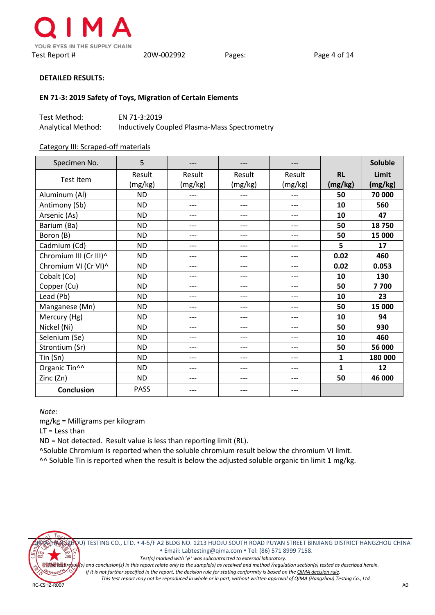

#### **EN 71-3: 2019 Safety of Toys, Migration of Certain Elements**

| Test Method:       | EN 71-3:2019                                 |
|--------------------|----------------------------------------------|
| Analytical Method: | Inductively Coupled Plasma-Mass Spectrometry |

#### Category III: Scraped-off materials

| Specimen No.           | 5           |         | ---     |         |           | <b>Soluble</b> |
|------------------------|-------------|---------|---------|---------|-----------|----------------|
|                        | Result      | Result  | Result  | Result  | <b>RL</b> | Limit          |
| Test Item              | (mg/kg)     | (mg/kg) | (mg/kg) | (mg/kg) | (mg/kg)   | (mg/kg)        |
| Aluminum (Al)          | <b>ND</b>   | $---$   | ---     | ---     | 50        | 70 000         |
| Antimony (Sb)          | <b>ND</b>   | ---     | ---     | ---     | 10        | 560            |
| Arsenic (As)           | <b>ND</b>   | $---$   | ---     | $---$   | 10        | 47             |
| Barium (Ba)            | <b>ND</b>   | ---     | ---     | $---$   | 50        | 18750          |
| Boron (B)              | <b>ND</b>   | ---     | ---     | ---     | 50        | 15 000         |
| Cadmium (Cd)           | <b>ND</b>   | ---     | ---     | ---     | 5         | 17             |
| Chromium III (Cr III)^ | <b>ND</b>   | ---     | ---     | ---     | 0.02      | 460            |
| Chromium VI (Cr VI)^   | <b>ND</b>   | $---$   | ---     | ---     | 0.02      | 0.053          |
| Cobalt (Co)            | <b>ND</b>   | ---     | ---     | ---     | 10        | 130            |
| Copper (Cu)            | <b>ND</b>   | $---$   | ---     | $---$   | 50        | 7700           |
| Lead (Pb)              | <b>ND</b>   | ---     | ---     | ---     | 10        | 23             |
| Manganese (Mn)         | <b>ND</b>   | ---     | ---     | $---$   | 50        | 15 000         |
| Mercury (Hg)           | <b>ND</b>   | ---     | ---     | ---     | 10        | 94             |
| Nickel (Ni)            | <b>ND</b>   | ---     | ---     | ---     | 50        | 930            |
| Selenium (Se)          | <b>ND</b>   | $---$   | ---     | $---$   | 10        | 460            |
| Strontium (Sr)         | <b>ND</b>   | ---     | ---     | ---     | 50        | 56 000         |
| Tin (Sn)               | <b>ND</b>   | ---     | ---     | ---     | 1         | 180 000        |
| Organic Tin^^          | <b>ND</b>   | ---     | ---     | ---     | 1         | 12             |
| Zinc (Zn)              | <b>ND</b>   | ---     | ---     | ---     | 50        | 46 000         |
| <b>Conclusion</b>      | <b>PASS</b> |         | ---     |         |           |                |

*Note:*

mg/kg = Milligrams per kilogram

LT = Less than

ND = Not detected. Result value is less than reporting limit (RL).

^Soluble Chromium is reported when the soluble chromium result below the chromium VI limit.

^^ Soluble Tin is reported when the result is below the adjusted soluble organic tin limit 1 mg/kg.



QIMA (HANGZHOU) TESTING CO., LTD. 4-5/F A2 BLDG NO. 1213 HUOJU SOUTH ROAD PUYAN STREET BINJIANG DISTRICT HANGZHOU CHINA Email[: Labtesting@qima.com](mailto:Labtesting@qima.com) Tel: (86) 571 8999 7158. *Test(s) marked with '*φ *' was subcontracted to external laboratory.*

*The test result(s) and conclusion(s) in this report relate only to the sample(s) as received and method /regulation section(s) tested as described herein.*

*If it is not further specified in the report, the decision rule for stating conformity is based on th[e QIMA decision rule.](https://s3.qima.com/files/CRD_QIMA%20Decision%20Rule-V1.pdf?_ga=2.1664817.108575118.1565087606-1285160517.1565087606)*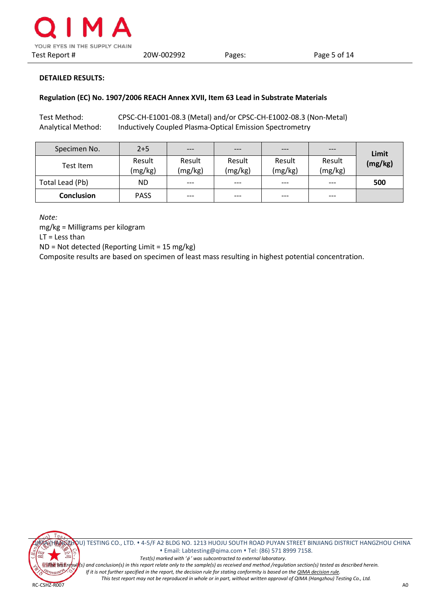

## **Regulation (EC) No. 1907/2006 REACH Annex XVII, Item 63 Lead in Substrate Materials**

Test Method: CPSC-CH-E1001-08.3 (Metal) and/or CPSC-CH-E1002-08.3 (Non-Metal) Analytical Method: Inductively Coupled Plasma-Optical Emission Spectrometry

| Specimen No.      | $2+5$             | $---$             | $---$             | $---$             | $---$             | Limit   |
|-------------------|-------------------|-------------------|-------------------|-------------------|-------------------|---------|
| Test Item         | Result<br>(mg/kg) | Result<br>(mg/kg) | Result<br>(mg/kg) | Result<br>(mg/kg) | Result<br>(mg/kg) | (mg/kg) |
| Total Lead (Pb)   | <b>ND</b>         | $---$             | $---$             | $---$             | ---               | 500     |
| <b>Conclusion</b> | <b>PASS</b>       | $---$             | $---$             | $---$             | $---$             |         |

*Note:*

mg/kg = Milligrams per kilogram

LT = Less than

ND = Not detected (Reporting Limit = 15 mg/kg)

Composite results are based on specimen of least mass resulting in highest potential concentration.

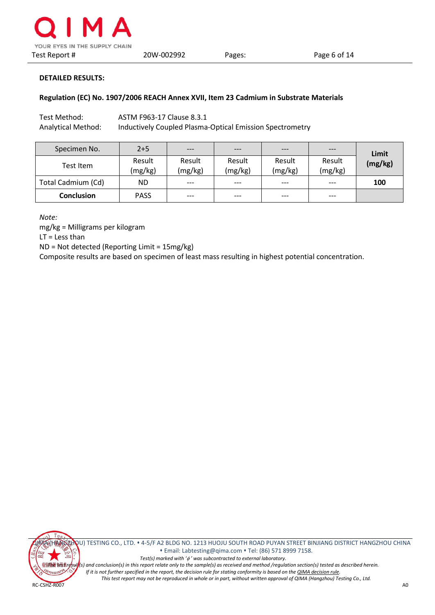

#### **Regulation (EC) No. 1907/2006 REACH Annex XVII, Item 23 Cadmium in Substrate Materials**

Test Method: ASTM F963-17 Clause 8.3.1 Analytical Method: Inductively Coupled Plasma-Optical Emission Spectrometry

| Specimen No.       | $2+5$             | $---$             | $---$             | $---$             | $---$             | Limit   |
|--------------------|-------------------|-------------------|-------------------|-------------------|-------------------|---------|
| Test Item          | Result<br>(mg/kg) | Result<br>(mg/kg) | Result<br>(mg/kg) | Result<br>(mg/kg) | Result<br>(mg/kg) | (mg/kg) |
| Total Cadmium (Cd) | ND.               | $---$             | $---$             | $---$             | $---$             | 100     |
| <b>Conclusion</b>  | <b>PASS</b>       | $---$             | $---$             | $---$             | $---$             |         |

*Note:*

mg/kg = Milligrams per kilogram

LT = Less than

ND = Not detected (Reporting Limit = 15mg/kg)

Composite results are based on specimen of least mass resulting in highest potential concentration.

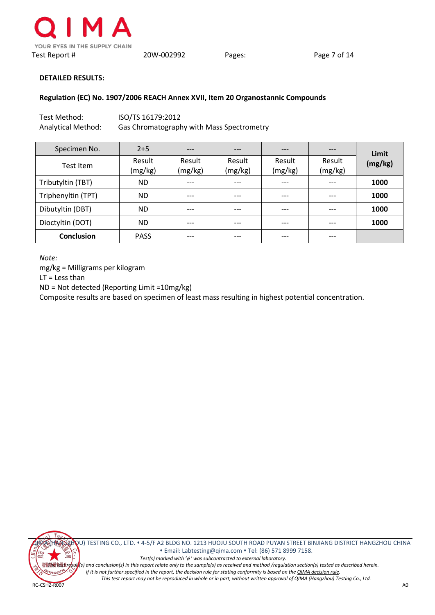

#### **Regulation (EC) No. 1907/2006 REACH Annex XVII, Item 20 Organostannic Compounds**

| Test Method:       | ISO/TS 16179:2012                         |
|--------------------|-------------------------------------------|
| Analytical Method: | Gas Chromatography with Mass Spectrometry |

| Specimen No.       | $2+5$             | ---               | $---$             | ---               | ---               | Limit   |
|--------------------|-------------------|-------------------|-------------------|-------------------|-------------------|---------|
| Test Item          | Result<br>(mg/kg) | Result<br>(mg/kg) | Result<br>(mg/kg) | Result<br>(mg/kg) | Result<br>(mg/kg) | (mg/kg) |
| Tributyltin (TBT)  | <b>ND</b>         | ---               | ---               | $---$             | ---               | 1000    |
| Triphenyltin (TPT) | <b>ND</b>         | ---               | ---               | ---               | ---               | 1000    |
| Dibutyltin (DBT)   | <b>ND</b>         | ---               | ---               | ---               | ---               | 1000    |
| Dioctyltin (DOT)   | ND.               | ---               | ---               | ---               | ---               | 1000    |
| <b>Conclusion</b>  | <b>PASS</b>       | ---               | ---               | ---               | ---               |         |

*Note:*

mg/kg = Milligrams per kilogram

LT = Less than

ND = Not detected (Reporting Limit =10mg/kg)

Composite results are based on specimen of least mass resulting in highest potential concentration.



QIMA (HANGZHOU) TESTING CO., LTD. 4-5/F A2 BLDG NO. 1213 HUOJU SOUTH ROAD PUYAN STREET BINJIANG DISTRICT HANGZHOU CHINA Email[: Labtesting@qima.com](mailto:Labtesting@qima.com) Tel: (86) 571 8999 7158. *Test(s) marked with '*φ *' was subcontracted to external laboratory. The test result(s) and conclusion(s) in this report relate only to the sample(s) as received and method /regulation section(s) tested as described herein. If it is not further specified in the report, the decision rule for stating conformity is based on th[e QIMA decision rule.](https://s3.qima.com/files/CRD_QIMA%20Decision%20Rule-V1.pdf?_ga=2.1664817.108575118.1565087606-1285160517.1565087606)*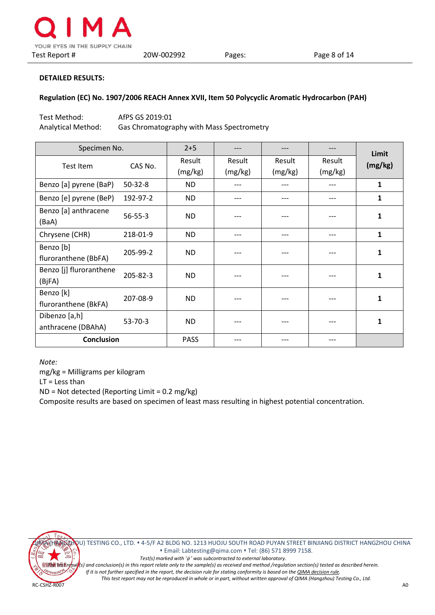

#### **Regulation (EC) No. 1907/2006 REACH Annex XVII, Item 50 Polycyclic Aromatic Hydrocarbon (PAH)**

| Test Method:       | AfPS GS 2019:01                           |
|--------------------|-------------------------------------------|
| Analytical Method: | Gas Chromatography with Mass Spectrometry |

| Specimen No.            |               | $2+5$       |         |         |         | Limit        |  |
|-------------------------|---------------|-------------|---------|---------|---------|--------------|--|
| Test Item               | CAS No.       | Result      | Result  | Result  | Result  | (mg/kg)      |  |
|                         |               | (mg/kg)     | (mg/kg) | (mg/kg) | (mg/kg) |              |  |
| Benzo [a] pyrene (BaP)  | $50 - 32 - 8$ | ND.         |         |         |         | 1            |  |
| Benzo [e] pyrene (BeP)  | 192-97-2      | ND.         |         | ---     |         | 1            |  |
| Benzo [a] anthracene    | $56 - 55 - 3$ | ND.         |         |         |         | 1            |  |
| (BaA)                   |               |             |         |         |         |              |  |
| Chrysene (CHR)          | 218-01-9      | ND.         |         | ---     |         | 1            |  |
| Benzo [b]               | 205-99-2      | ND.         |         |         |         | $\mathbf{1}$ |  |
| fluroranthene (BbFA)    |               |             |         |         |         |              |  |
| Benzo [j] fluroranthene | 205-82-3      | ND.         |         |         |         | 1            |  |
| (BjFA)                  |               |             |         |         |         |              |  |
| Benzo [k]               | 207-08-9      | ND.         |         | ---     |         | 1            |  |
| fluroranthene (BkFA)    |               |             |         |         |         |              |  |
| Dibenzo [a,h]           | $53 - 70 - 3$ | ND.         |         |         |         | 1            |  |
| anthracene (DBAhA)      |               |             |         |         |         |              |  |
| <b>Conclusion</b>       |               | <b>PASS</b> |         | $- -$   |         |              |  |

*Note:*

mg/kg = Milligrams per kilogram

LT = Less than

ND = Not detected (Reporting Limit = 0.2 mg/kg)

Composite results are based on specimen of least mass resulting in highest potential concentration.



QIMA (HANGZHOU) TESTING CO., LTD. 4-5/F A2 BLDG NO. 1213 HUOJU SOUTH ROAD PUYAN STREET BINJIANG DISTRICT HANGZHOU CHINA Email[: Labtesting@qima.com](mailto:Labtesting@qima.com) Tel: (86) 571 8999 7158. *Test(s) marked with '*φ *' was subcontracted to external laboratory.*

*The test result(s) and conclusion(s) in this report relate only to the sample(s) as received and method /regulation section(s) tested as described herein.*

*If it is not further specified in the report, the decision rule for stating conformity is based on th[e QIMA decision rule.](https://s3.qima.com/files/CRD_QIMA%20Decision%20Rule-V1.pdf?_ga=2.1664817.108575118.1565087606-1285160517.1565087606) This test report may not be reproduced in whole or in part, without written approval of QIMA (Hangzhou) Testing Co., Ltd.*

RC-CSHZ-R007 A0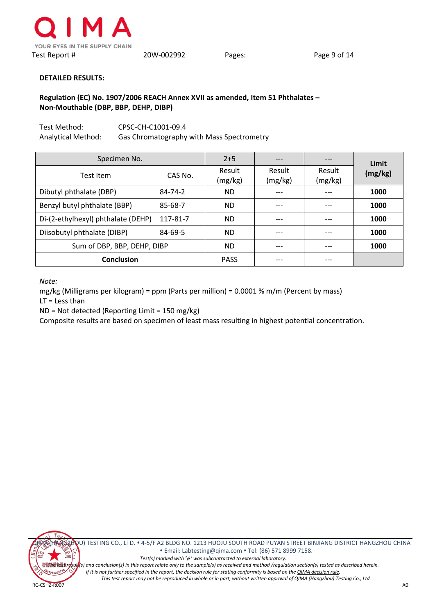

# **Regulation (EC) No. 1907/2006 REACH Annex XVII as amended, Item 51 Phthalates – Non-Mouthable (DBP, BBP, DEHP, DIBP)**

Test Method: CPSC-CH-C1001-09.4 Analytical Method: Gas Chromatography with Mass Spectrometry

| Specimen No.                       |          | $2+5$             |                   | ---               | Limit   |
|------------------------------------|----------|-------------------|-------------------|-------------------|---------|
| Test Item                          | CAS No.  | Result<br>(mg/kg) | Result<br>(mg/kg) | Result<br>(mg/kg) | (mg/kg) |
| Dibutyl phthalate (DBP)            | 84-74-2  | <b>ND</b>         |                   |                   | 1000    |
| Benzyl butyl phthalate (BBP)       | 85-68-7  | <b>ND</b>         |                   | ---               | 1000    |
| Di-(2-ethylhexyl) phthalate (DEHP) | 117-81-7 | <b>ND</b>         | ---               | ---               | 1000    |
| Diisobutyl phthalate (DIBP)        | 84-69-5  | <b>ND</b>         |                   |                   | 1000    |
| Sum of DBP, BBP, DEHP, DIBP        |          | <b>ND</b>         |                   | ---               | 1000    |
| <b>Conclusion</b>                  |          | <b>PASS</b>       |                   |                   |         |

*Note:*

mg/kg (Milligrams per kilogram) = ppm (Parts per million) = 0.0001 % m/m (Percent by mass) LT = Less than

ND = Not detected (Reporting Limit = 150 mg/kg)

Composite results are based on specimen of least mass resulting in highest potential concentration.

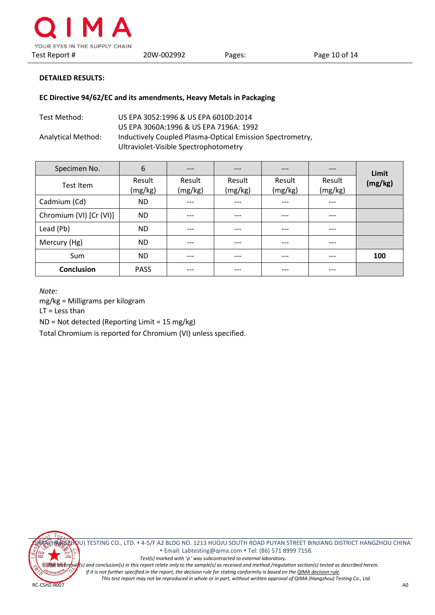

## **EC Directive 94/62/EC and its amendments, Heavy Metals in Packaging**

| Test Method:       | US EPA 3052:1996 & US EPA 6010D:2014                      |
|--------------------|-----------------------------------------------------------|
|                    | US EPA 3060A:1996 & US EPA 7196A: 1992                    |
| Analytical Method: | Inductively Coupled Plasma-Optical Emission Spectrometry, |
|                    | Ultraviolet-Visible Spectrophotometry                     |

| Specimen No.            | 6                 | $---$             | $---$             | ---               | ---               | Limit   |
|-------------------------|-------------------|-------------------|-------------------|-------------------|-------------------|---------|
| Test Item               | Result<br>(mg/kg) | Result<br>(mg/kg) | Result<br>(mg/kg) | Result<br>(mg/kg) | Result<br>(mg/kg) | (mg/kg) |
| Cadmium (Cd)            | ND.               | ---               | $---$             | ---               | ---               |         |
| Chromium (VI) [Cr (VI)] | ND.               | $---$             | $---$             | $---$             | $---$             |         |
| Lead (Pb)               | ND.               | $---$             | $---$             | $---$             | $---$             |         |
| Mercury (Hg)            | <b>ND</b>         |                   |                   | ---               | ---               |         |
| Sum                     | ND.               | $---$             | $---$             | $---$             | ---               | 100     |
| <b>Conclusion</b>       | <b>PASS</b>       | $---$             | $---$             | $---$             | $---$             |         |

*Note:*

mg/kg = Milligrams per kilogram

LT = Less than

ND = Not detected (Reporting Limit = 15 mg/kg)

Total Chromium is reported for Chromium (VI) unless specified.

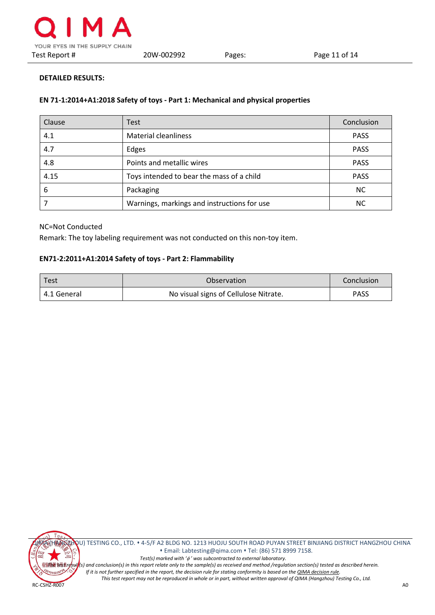# **EN 71-1:2014+A1:2018 Safety of toys - Part 1: Mechanical and physical properties**

| Clause | Test                                        | Conclusion  |
|--------|---------------------------------------------|-------------|
| 4.1    | <b>Material cleanliness</b>                 | <b>PASS</b> |
| 4.7    | Edges                                       | <b>PASS</b> |
| 4.8    | Points and metallic wires                   | <b>PASS</b> |
| 4.15   | Toys intended to bear the mass of a child   | <b>PASS</b> |
| 6      | Packaging                                   | <b>NC</b>   |
|        | Warnings, markings and instructions for use | NС          |

### NC=Not Conducted

Remark: The toy labeling requirement was not conducted on this non-toy item.

# **EN71-2:2011+A1:2014 Safety of toys - Part 2: Flammability**

| l Test        | Observation                           | Conclusion  |
|---------------|---------------------------------------|-------------|
| l 4.1 General | No visual signs of Cellulose Nitrate. | <b>PASS</b> |



QIMA (HANGZHOU) TESTING CO., LTD. 4-5/F A2 BLDG NO. 1213 HUOJU SOUTH ROAD PUYAN STREET BINJIANG DISTRICT HANGZHOU CHINA Email[: Labtesting@qima.com](mailto:Labtesting@qima.com) Tel: (86) 571 8999 7158. *Test(s) marked with '*φ *' was subcontracted to external laboratory. The test result(s) and conclusion(s) in this report relate only to the sample(s) as received and method /regulation section(s) tested as described herein. If it is not further specified in the report, the decision rule for stating conformity is based on th[e QIMA decision rule.](https://s3.qima.com/files/CRD_QIMA%20Decision%20Rule-V1.pdf?_ga=2.1664817.108575118.1565087606-1285160517.1565087606)*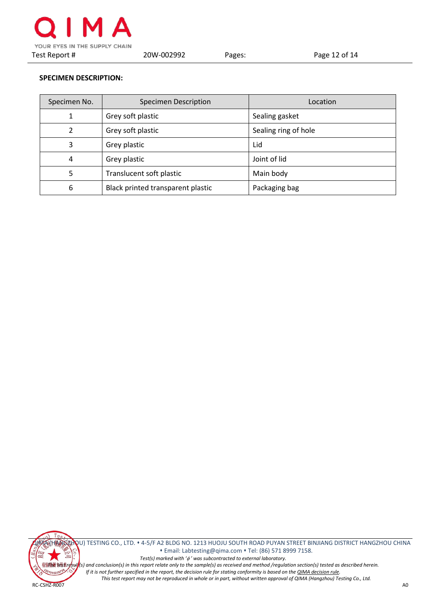

# **SPECIMEN DESCRIPTION:**

| Specimen No.   | Specimen Description              | Location             |
|----------------|-----------------------------------|----------------------|
| 1              | Grey soft plastic                 | Sealing gasket       |
| $\mathfrak{p}$ | Grey soft plastic                 | Sealing ring of hole |
| 3              | Grey plastic                      | Lid                  |
| 4              | Grey plastic                      | Joint of lid         |
| 5              | Translucent soft plastic          | Main body            |
| 6              | Black printed transparent plastic | Packaging bag        |



QU) TESTING CO., LTD. 4-5/F A2 BLDG NO. 1213 HUOJU SOUTH ROAD PUYAN STREET BINJIANG DISTRICT HANGZHOU CHINA Email[: Labtesting@qima.com](mailto:Labtesting@qima.com) Tel: (86) 571 8999 7158. *Test(s) marked with '*φ *' was subcontracted to external laboratory.* <sup>检验精度</sup>表明(s) and conclusion(s) in this report relate only to the sample(s) as received and method /regulation section(s) tested as described herein.<br><sup>Sam</sup>ovas<sup>syster</sup>f it is not further specified in the report, the decisio *If it is not further specified in the report, the decision rule for stating conformity is based on th[e QIMA decision rule.](https://s3.qima.com/files/CRD_QIMA%20Decision%20Rule-V1.pdf?_ga=2.1664817.108575118.1565087606-1285160517.1565087606) This test report may not be reproduced in whole or in part, without written approval of QIMA (Hangzhou) Testing Co., Ltd.*

RC-CSHZ-R007 A0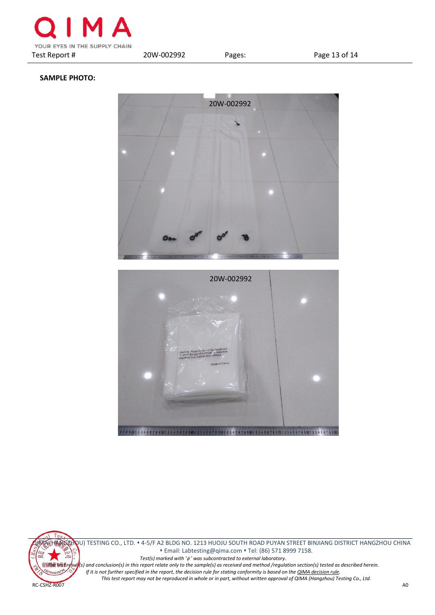

# **SAMPLE PHOTO:**





 Email[: Labtesting@qima.com](mailto:Labtesting@qima.com) Tel: (86) 571 8999 7158. *Test(s) marked with '*φ *' was subcontracted to external laboratory.* **The test result(s)** and conclusion(s) in this report relate only to the sample(s) as received and method /regulation section(s) tested as described herein.<br>Strive is a section of the section interport, the decision rule *If it is not further specified in the report, the decision rule for stating conformity is based on th[e QIMA decision rule.](https://s3.qima.com/files/CRD_QIMA%20Decision%20Rule-V1.pdf?_ga=2.1664817.108575118.1565087606-1285160517.1565087606)*